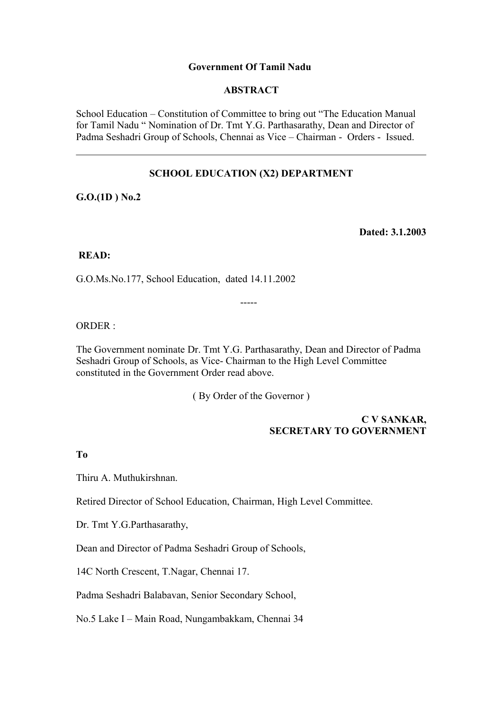## **Government Of Tamil Nadu**

## **ABSTRACT**

School Education – Constitution of Committee to bring out "The Education Manual for Tamil Nadu " Nomination of Dr. Tmt Y.G. Parthasarathy, Dean and Director of Padma Seshadri Group of Schools, Chennai as Vice – Chairman - Orders - Issued.

# **SCHOOL EDUCATION (X2) DEPARTMENT**

**G.O.(1D ) No.2**

**Dated: 3.1.2003**

## **READ:**

G.O.Ms.No.177, School Education, dated 14.11.2002

ORDER :

The Government nominate Dr. Tmt Y.G. Parthasarathy, Dean and Director of Padma Seshadri Group of Schools, as Vice- Chairman to the High Level Committee constituted in the Government Order read above.

-----

( By Order of the Governor )

## **C V SANKAR, SECRETARY TO GOVERNMENT**

### **To**

Thiru A. Muthukirshnan.

Retired Director of School Education, Chairman, High Level Committee.

Dr. Tmt Y.G.Parthasarathy,

Dean and Director of Padma Seshadri Group of Schools,

14C North Crescent, T.Nagar, Chennai 17.

Padma Seshadri Balabavan, Senior Secondary School,

No.5 Lake I – Main Road, Nungambakkam, Chennai 34